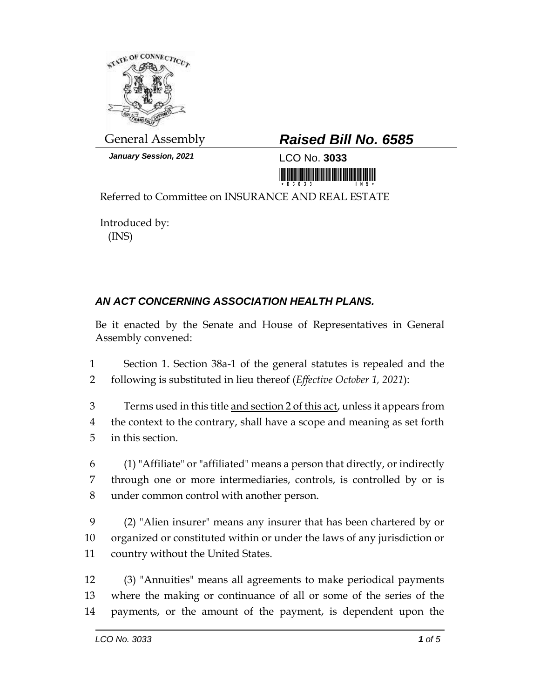

*January Session, 2021* LCO No. **3033**

## General Assembly *Raised Bill No. 6585*

<u> III maarta maanda ka mid maanda ka mid maanda ka mid</u>

Referred to Committee on INSURANCE AND REAL ESTATE

Introduced by: (INS)

## *AN ACT CONCERNING ASSOCIATION HEALTH PLANS.*

Be it enacted by the Senate and House of Representatives in General Assembly convened:

1 Section 1. Section 38a-1 of the general statutes is repealed and the 2 following is substituted in lieu thereof (*Effective October 1, 2021*):

3 Terms used in this title and section 2 of this act, unless it appears from 4 the context to the contrary, shall have a scope and meaning as set forth 5 in this section.

6 (1) "Affiliate" or "affiliated" means a person that directly, or indirectly 7 through one or more intermediaries, controls, is controlled by or is 8 under common control with another person.

9 (2) "Alien insurer" means any insurer that has been chartered by or 10 organized or constituted within or under the laws of any jurisdiction or 11 country without the United States.

12 (3) "Annuities" means all agreements to make periodical payments 13 where the making or continuance of all or some of the series of the 14 payments, or the amount of the payment, is dependent upon the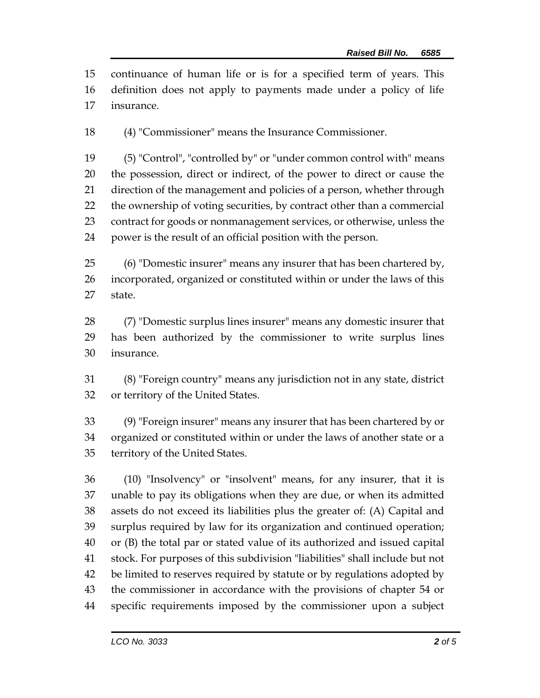continuance of human life or is for a specified term of years. This definition does not apply to payments made under a policy of life insurance.

(4) "Commissioner" means the Insurance Commissioner.

 (5) "Control", "controlled by" or "under common control with" means the possession, direct or indirect, of the power to direct or cause the direction of the management and policies of a person, whether through the ownership of voting securities, by contract other than a commercial contract for goods or nonmanagement services, or otherwise, unless the power is the result of an official position with the person.

 (6) "Domestic insurer" means any insurer that has been chartered by, incorporated, organized or constituted within or under the laws of this state.

 (7) "Domestic surplus lines insurer" means any domestic insurer that has been authorized by the commissioner to write surplus lines insurance.

 (8) "Foreign country" means any jurisdiction not in any state, district or territory of the United States.

 (9) "Foreign insurer" means any insurer that has been chartered by or organized or constituted within or under the laws of another state or a territory of the United States.

 (10) "Insolvency" or "insolvent" means, for any insurer, that it is unable to pay its obligations when they are due, or when its admitted assets do not exceed its liabilities plus the greater of: (A) Capital and surplus required by law for its organization and continued operation; or (B) the total par or stated value of its authorized and issued capital stock. For purposes of this subdivision "liabilities" shall include but not be limited to reserves required by statute or by regulations adopted by the commissioner in accordance with the provisions of chapter 54 or specific requirements imposed by the commissioner upon a subject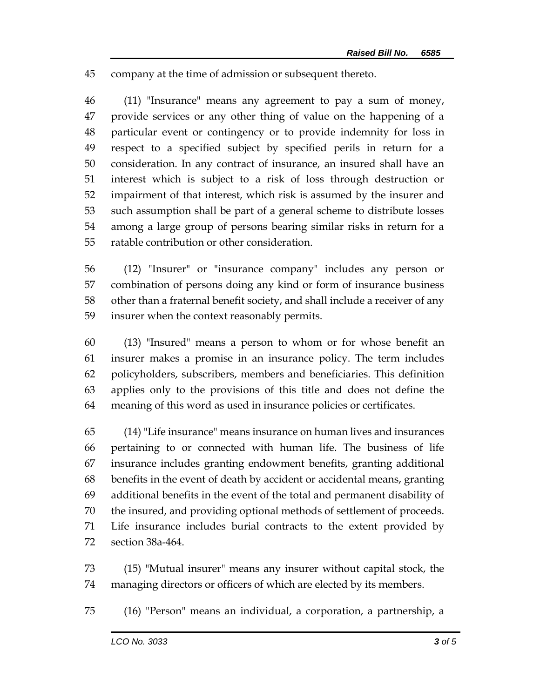company at the time of admission or subsequent thereto.

 (11) "Insurance" means any agreement to pay a sum of money, provide services or any other thing of value on the happening of a particular event or contingency or to provide indemnity for loss in respect to a specified subject by specified perils in return for a consideration. In any contract of insurance, an insured shall have an interest which is subject to a risk of loss through destruction or impairment of that interest, which risk is assumed by the insurer and such assumption shall be part of a general scheme to distribute losses among a large group of persons bearing similar risks in return for a ratable contribution or other consideration.

 (12) "Insurer" or "insurance company" includes any person or combination of persons doing any kind or form of insurance business other than a fraternal benefit society, and shall include a receiver of any insurer when the context reasonably permits.

 (13) "Insured" means a person to whom or for whose benefit an insurer makes a promise in an insurance policy. The term includes policyholders, subscribers, members and beneficiaries. This definition applies only to the provisions of this title and does not define the meaning of this word as used in insurance policies or certificates.

 (14) "Life insurance" means insurance on human lives and insurances pertaining to or connected with human life. The business of life insurance includes granting endowment benefits, granting additional benefits in the event of death by accident or accidental means, granting additional benefits in the event of the total and permanent disability of the insured, and providing optional methods of settlement of proceeds. Life insurance includes burial contracts to the extent provided by section 38a-464.

 (15) "Mutual insurer" means any insurer without capital stock, the managing directors or officers of which are elected by its members.

(16) "Person" means an individual, a corporation, a partnership, a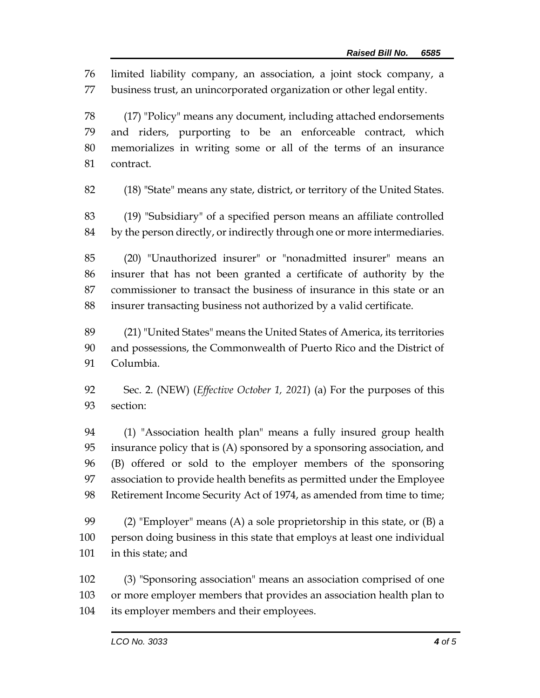limited liability company, an association, a joint stock company, a business trust, an unincorporated organization or other legal entity.

 (17) "Policy" means any document, including attached endorsements and riders, purporting to be an enforceable contract, which memorializes in writing some or all of the terms of an insurance contract.

(18) "State" means any state, district, or territory of the United States.

 (19) "Subsidiary" of a specified person means an affiliate controlled by the person directly, or indirectly through one or more intermediaries.

 (20) "Unauthorized insurer" or "nonadmitted insurer" means an insurer that has not been granted a certificate of authority by the commissioner to transact the business of insurance in this state or an insurer transacting business not authorized by a valid certificate.

 (21) "United States" means the United States of America, its territories and possessions, the Commonwealth of Puerto Rico and the District of Columbia.

 Sec. 2. (NEW) (*Effective October 1, 2021*) (a) For the purposes of this section:

 (1) "Association health plan" means a fully insured group health insurance policy that is (A) sponsored by a sponsoring association, and (B) offered or sold to the employer members of the sponsoring association to provide health benefits as permitted under the Employee 98 Retirement Income Security Act of 1974, as amended from time to time;

 (2) "Employer" means (A) a sole proprietorship in this state, or (B) a person doing business in this state that employs at least one individual in this state; and

 (3) "Sponsoring association" means an association comprised of one or more employer members that provides an association health plan to its employer members and their employees.